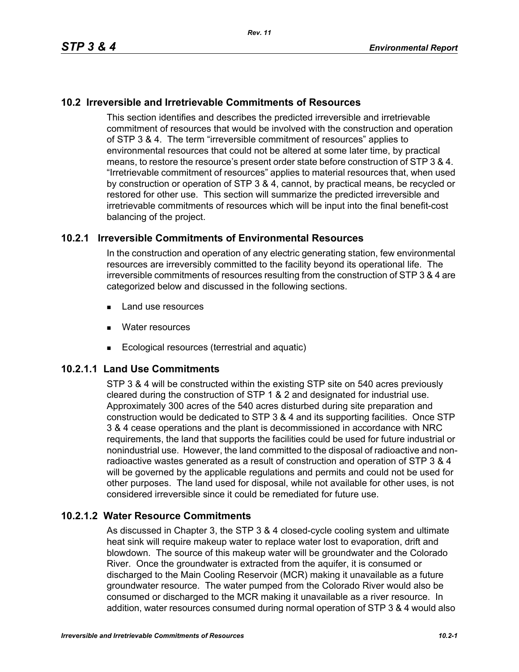## **10.2 Irreversible and Irretrievable Commitments of Resources**

This section identifies and describes the predicted irreversible and irretrievable commitment of resources that would be involved with the construction and operation of STP 3 & 4. The term "irreversible commitment of resources" applies to environmental resources that could not be altered at some later time, by practical means, to restore the resource's present order state before construction of STP 3 & 4. "Irretrievable commitment of resources" applies to material resources that, when used by construction or operation of STP 3 & 4, cannot, by practical means, be recycled or restored for other use. This section will summarize the predicted irreversible and irretrievable commitments of resources which will be input into the final benefit-cost balancing of the project.

#### **10.2.1 Irreversible Commitments of Environmental Resources**

In the construction and operation of any electric generating station, few environmental resources are irreversibly committed to the facility beyond its operational life. The irreversible commitments of resources resulting from the construction of STP 3 & 4 are categorized below and discussed in the following sections.

- **Land use resources**
- **Nater resources**
- Ecological resources (terrestrial and aquatic)

#### **10.2.1.1 Land Use Commitments**

STP 3 & 4 will be constructed within the existing STP site on 540 acres previously cleared during the construction of STP 1 & 2 and designated for industrial use. Approximately 300 acres of the 540 acres disturbed during site preparation and construction would be dedicated to STP 3 & 4 and its supporting facilities. Once STP 3 & 4 cease operations and the plant is decommissioned in accordance with NRC requirements, the land that supports the facilities could be used for future industrial or nonindustrial use. However, the land committed to the disposal of radioactive and nonradioactive wastes generated as a result of construction and operation of STP 3 & 4 will be governed by the applicable regulations and permits and could not be used for other purposes. The land used for disposal, while not available for other uses, is not considered irreversible since it could be remediated for future use.

#### **10.2.1.2 Water Resource Commitments**

As discussed in Chapter 3, the STP 3 & 4 closed-cycle cooling system and ultimate heat sink will require makeup water to replace water lost to evaporation, drift and blowdown. The source of this makeup water will be groundwater and the Colorado River. Once the groundwater is extracted from the aquifer, it is consumed or discharged to the Main Cooling Reservoir (MCR) making it unavailable as a future groundwater resource. The water pumped from the Colorado River would also be consumed or discharged to the MCR making it unavailable as a river resource. In addition, water resources consumed during normal operation of STP 3 & 4 would also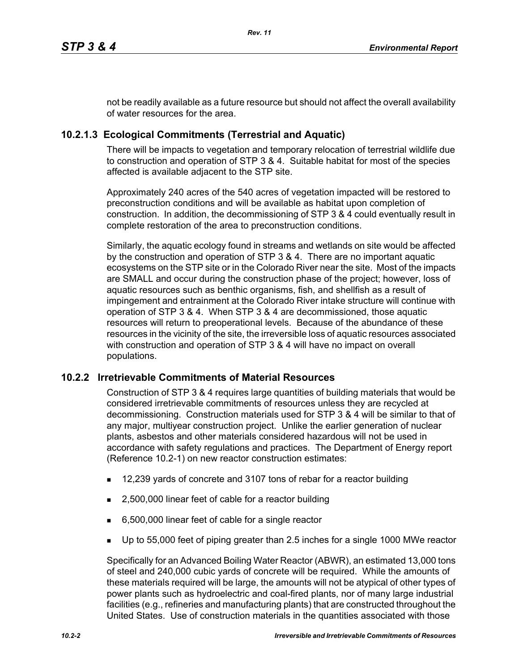not be readily available as a future resource but should not affect the overall availability of water resources for the area.

# **10.2.1.3 Ecological Commitments (Terrestrial and Aquatic)**

There will be impacts to vegetation and temporary relocation of terrestrial wildlife due to construction and operation of STP 3 & 4. Suitable habitat for most of the species affected is available adjacent to the STP site.

Approximately 240 acres of the 540 acres of vegetation impacted will be restored to preconstruction conditions and will be available as habitat upon completion of construction. In addition, the decommissioning of STP 3 & 4 could eventually result in complete restoration of the area to preconstruction conditions.

Similarly, the aquatic ecology found in streams and wetlands on site would be affected by the construction and operation of STP 3 & 4. There are no important aquatic ecosystems on the STP site or in the Colorado River near the site. Most of the impacts are SMALL and occur during the construction phase of the project; however, loss of aquatic resources such as benthic organisms, fish, and shellfish as a result of impingement and entrainment at the Colorado River intake structure will continue with operation of STP 3 & 4. When STP 3 & 4 are decommissioned, those aquatic resources will return to preoperational levels. Because of the abundance of these resources in the vicinity of the site, the irreversible loss of aquatic resources associated with construction and operation of STP 3 & 4 will have no impact on overall populations.

## **10.2.2 Irretrievable Commitments of Material Resources**

Construction of STP 3 & 4 requires large quantities of building materials that would be considered irretrievable commitments of resources unless they are recycled at decommissioning. Construction materials used for STP 3 & 4 will be similar to that of any major, multiyear construction project. Unlike the earlier generation of nuclear plants, asbestos and other materials considered hazardous will not be used in accordance with safety regulations and practices. The Department of Energy report (Reference 10.2-1) on new reactor construction estimates:

- 12,239 yards of concrete and 3107 tons of rebar for a reactor building
- 2,500,000 linear feet of cable for a reactor building
- 6,500,000 linear feet of cable for a single reactor
- Up to 55,000 feet of piping greater than 2.5 inches for a single 1000 MWe reactor

Specifically for an Advanced Boiling Water Reactor (ABWR), an estimated 13,000 tons of steel and 240,000 cubic yards of concrete will be required. While the amounts of these materials required will be large, the amounts will not be atypical of other types of power plants such as hydroelectric and coal-fired plants, nor of many large industrial facilities (e.g., refineries and manufacturing plants) that are constructed throughout the United States. Use of construction materials in the quantities associated with those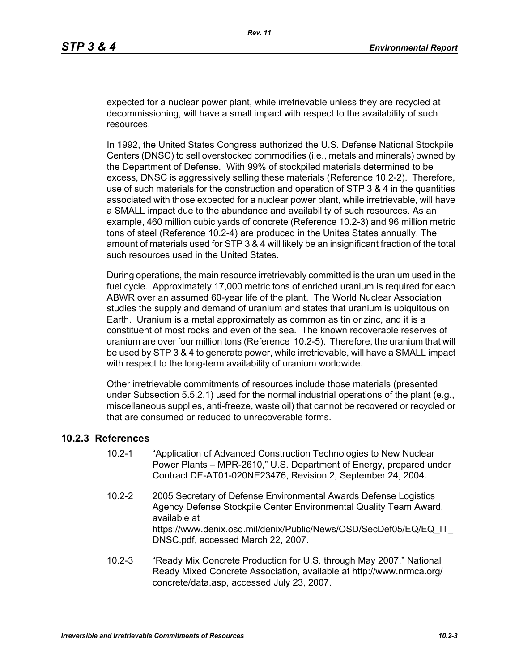expected for a nuclear power plant, while irretrievable unless they are recycled at decommissioning, will have a small impact with respect to the availability of such resources.

In 1992, the United States Congress authorized the U.S. Defense National Stockpile Centers (DNSC) to sell overstocked commodities (i.e., metals and minerals) owned by the Department of Defense. With 99% of stockpiled materials determined to be excess, DNSC is aggressively selling these materials (Reference 10.2-2). Therefore, use of such materials for the construction and operation of STP 3 & 4 in the quantities associated with those expected for a nuclear power plant, while irretrievable, will have a SMALL impact due to the abundance and availability of such resources. As an example, 460 million cubic yards of concrete (Reference 10.2-3) and 96 million metric tons of steel (Reference 10.2-4) are produced in the Unites States annually. The amount of materials used for STP 3 & 4 will likely be an insignificant fraction of the total such resources used in the United States.

During operations, the main resource irretrievably committed is the uranium used in the fuel cycle. Approximately 17,000 metric tons of enriched uranium is required for each ABWR over an assumed 60-year life of the plant. The World Nuclear Association studies the supply and demand of uranium and states that uranium is ubiquitous on Earth. Uranium is a metal approximately as common as tin or zinc, and it is a constituent of most rocks and even of the sea. The known recoverable reserves of uranium are over four million tons (Reference 10.2-5). Therefore, the uranium that will be used by STP 3 & 4 to generate power, while irretrievable, will have a SMALL impact with respect to the long-term availability of uranium worldwide.

Other irretrievable commitments of resources include those materials (presented under Subsection 5.5.2.1) used for the normal industrial operations of the plant (e.g., miscellaneous supplies, anti-freeze, waste oil) that cannot be recovered or recycled or that are consumed or reduced to unrecoverable forms.

#### **10.2.3 References**

- 10.2-1 "Application of Advanced Construction Technologies to New Nuclear Power Plants – MPR-2610," U.S. Department of Energy, prepared under Contract DE-AT01-020NE23476, Revision 2, September 24, 2004.
- 10.2-2 2005 Secretary of Defense Environmental Awards Defense Logistics Agency Defense Stockpile Center Environmental Quality Team Award, available at https://www.denix.osd.mil/denix/Public/News/OSD/SecDef05/EQ/EQ\_IT DNSC.pdf, accessed March 22, 2007.
- 10.2-3 "Ready Mix Concrete Production for U.S. through May 2007," National Ready Mixed Concrete Association, available at http://www.nrmca.org/ concrete/data.asp, accessed July 23, 2007.